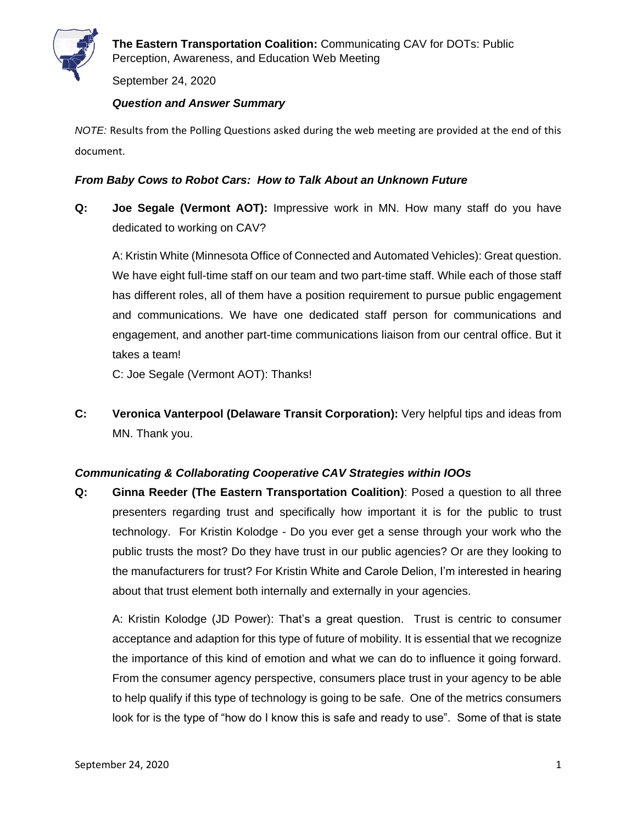

September 24, 2020

### *Question and Answer Summary*

*NOTE:* Results from the Polling Questions asked during the web meeting are provided at the end of this document.

## *From Baby Cows to Robot Cars: How to Talk About an Unknown Future*

**Q: Joe Segale (Vermont AOT):** Impressive work in MN. How many staff do you have dedicated to working on CAV?

A: Kristin White (Minnesota Office of Connected and Automated Vehicles): Great question. We have eight full-time staff on our team and two part-time staff. While each of those staff has different roles, all of them have a position requirement to pursue public engagement and communications. We have one dedicated staff person for communications and engagement, and another part-time communications liaison from our central office. But it takes a team!

C: Joe Segale (Vermont AOT): Thanks!

**C: Veronica Vanterpool (Delaware Transit Corporation):** Very helpful tips and ideas from MN. Thank you.

#### *Communicating & Collaborating Cooperative CAV Strategies within IOOs*

**Q: Ginna Reeder (The Eastern Transportation Coalition)**: Posed a question to all three presenters regarding trust and specifically how important it is for the public to trust technology. For Kristin Kolodge - Do you ever get a sense through your work who the public trusts the most? Do they have trust in our public agencies? Or are they looking to the manufacturers for trust? For Kristin White and Carole Delion, I'm interested in hearing about that trust element both internally and externally in your agencies.

A: Kristin Kolodge (JD Power): That's a great question. Trust is centric to consumer acceptance and adaption for this type of future of mobility. It is essential that we recognize the importance of this kind of emotion and what we can do to influence it going forward. From the consumer agency perspective, consumers place trust in your agency to be able to help qualify if this type of technology is going to be safe. One of the metrics consumers look for is the type of "how do I know this is safe and ready to use". Some of that is state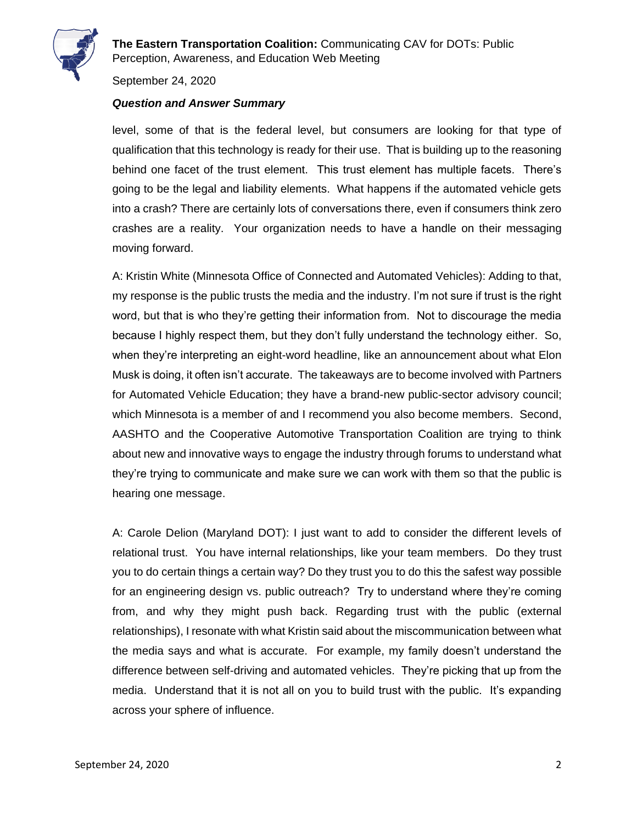

**The Eastern Transportation Coalition:** Communicating CAV for DOTs: Public Perception, Awareness, and Education Web Meeting

September 24, 2020

### *Question and Answer Summary*

level, some of that is the federal level, but consumers are looking for that type of qualification that this technology is ready for their use. That is building up to the reasoning behind one facet of the trust element. This trust element has multiple facets. There's going to be the legal and liability elements. What happens if the automated vehicle gets into a crash? There are certainly lots of conversations there, even if consumers think zero crashes are a reality. Your organization needs to have a handle on their messaging moving forward.

A: Kristin White (Minnesota Office of Connected and Automated Vehicles): Adding to that, my response is the public trusts the media and the industry. I'm not sure if trust is the right word, but that is who they're getting their information from. Not to discourage the media because I highly respect them, but they don't fully understand the technology either. So, when they're interpreting an eight-word headline, like an announcement about what Elon Musk is doing, it often isn't accurate. The takeaways are to become involved with Partners for Automated Vehicle Education; they have a brand-new public-sector advisory council; which Minnesota is a member of and I recommend you also become members. Second, AASHTO and the Cooperative Automotive Transportation Coalition are trying to think about new and innovative ways to engage the industry through forums to understand what they're trying to communicate and make sure we can work with them so that the public is hearing one message.

A: Carole Delion (Maryland DOT): I just want to add to consider the different levels of relational trust. You have internal relationships, like your team members. Do they trust you to do certain things a certain way? Do they trust you to do this the safest way possible for an engineering design vs. public outreach? Try to understand where they're coming from, and why they might push back. Regarding trust with the public (external relationships), I resonate with what Kristin said about the miscommunication between what the media says and what is accurate. For example, my family doesn't understand the difference between self-driving and automated vehicles. They're picking that up from the media. Understand that it is not all on you to build trust with the public. It's expanding across your sphere of influence.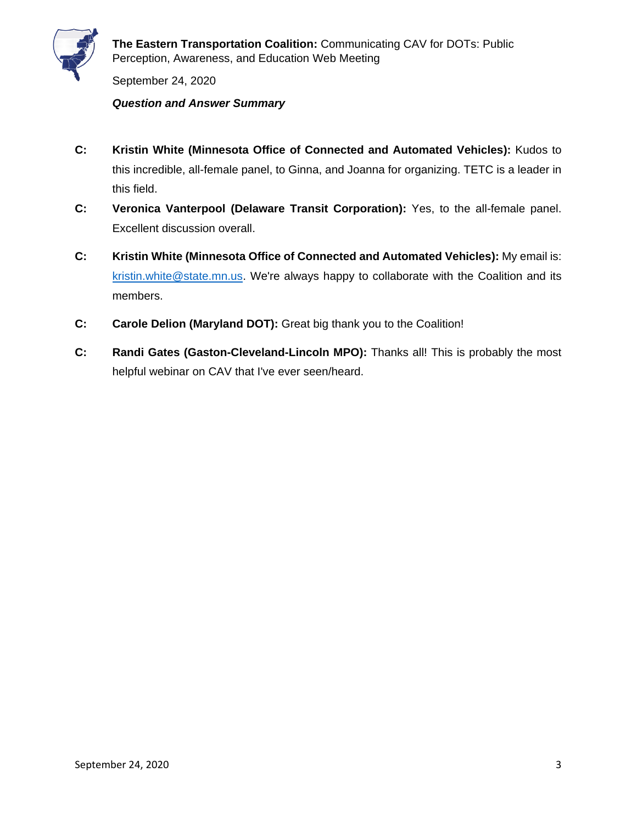

September 24, 2020

### *Question and Answer Summary*

- **C: Kristin White (Minnesota Office of Connected and Automated Vehicles):** Kudos to this incredible, all-female panel, to Ginna, and Joanna for organizing. TETC is a leader in this field.
- **C: Veronica Vanterpool (Delaware Transit Corporation):** Yes, to the all-female panel. Excellent discussion overall.
- **C: Kristin White (Minnesota Office of Connected and Automated Vehicles):** My email is: [kristin.white@state.mn.us.](mailto:kristin.white@state.mn.us) We're always happy to collaborate with the Coalition and its members.
- **C: Carole Delion (Maryland DOT):** Great big thank you to the Coalition!
- **C: Randi Gates (Gaston-Cleveland-Lincoln MPO):** Thanks all! This is probably the most helpful webinar on CAV that I've ever seen/heard.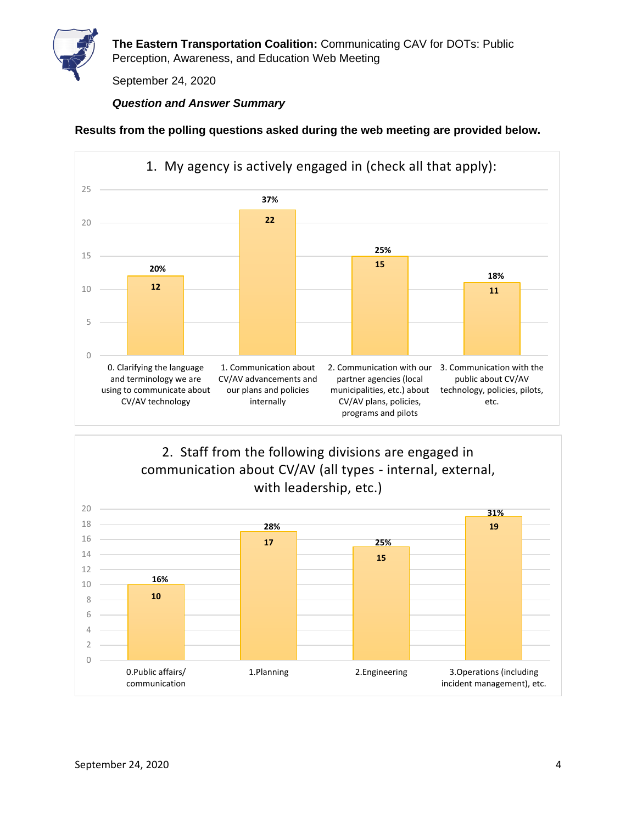

**The Eastern Transportation Coalition:** Communicating CAV for DOTs: Public Perception, Awareness, and Education Web Meeting

September 24, 2020

# *Question and Answer Summary*

#### **Results from the polling questions asked during the web meeting are provided below.**



**10 17 15 19** 0 2 4 6 8 10 12 14 16 18 20 0.Public affairs/ communication 1.Planning 2.Engineering 3.Operations (including incident management), etc. 2. Staff from the following divisions are engaged in communication about CV/AV (all types - internal, external, with leadership, etc.) **16% 28% 25% 31%**